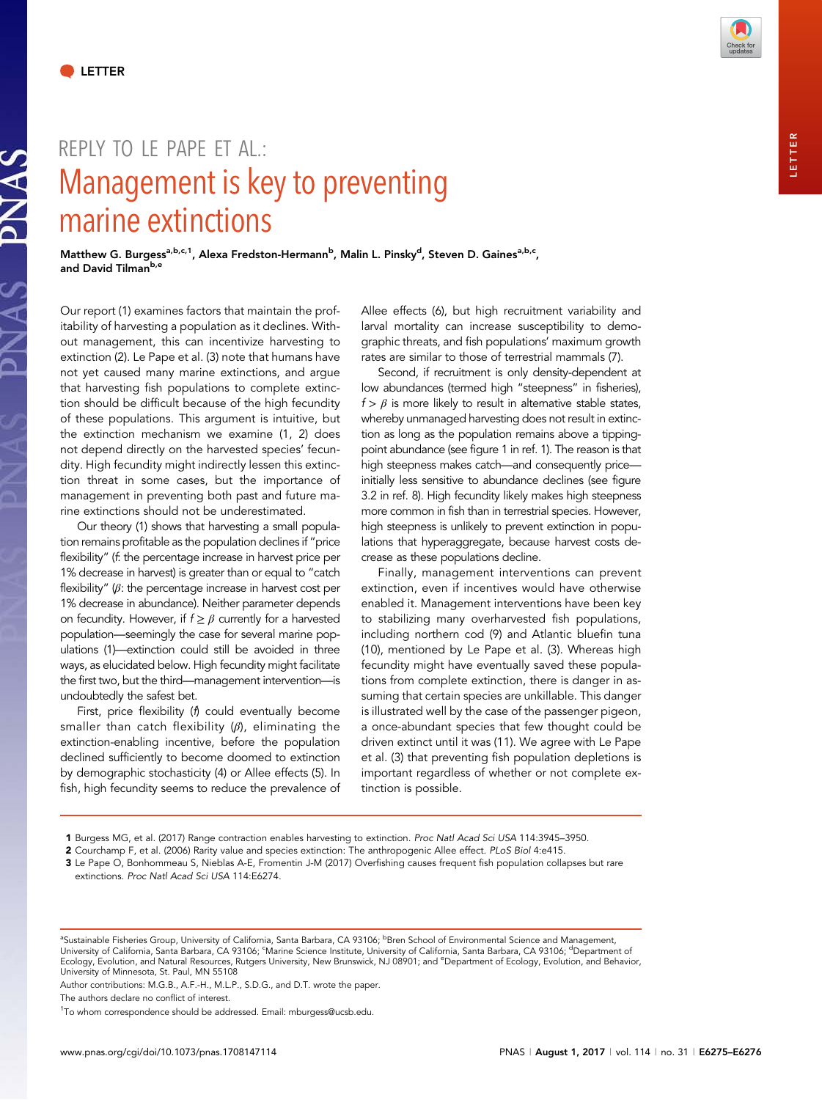NAS



## REPIY TO IF PAPE FT AL: Management is key to preventing marine extinctions

Matthew G. Burgess<sup>a,b,c,1</sup>, Alexa Fredston-Hermann<sup>b</sup>, Malin L. Pinsky<sup>d</sup>, Steven D. Gaines<sup>a,b,c</sup>, and David Tilman<sup>b,e</sup>

Our report (1) examines factors that maintain the profitability of harvesting a population as it declines. Without management, this can incentivize harvesting to extinction (2). Le Pape et al. (3) note that humans have not yet caused many marine extinctions, and argue that harvesting fish populations to complete extinction should be difficult because of the high fecundity of these populations. This argument is intuitive, but the extinction mechanism we examine (1, 2) does not depend directly on the harvested species' fecundity. High fecundity might indirectly lessen this extinction threat in some cases, but the importance of management in preventing both past and future marine extinctions should not be underestimated.

Our theory (1) shows that harvesting a small population remains profitable as the population declines if "price flexibility" (f. the percentage increase in harvest price per 1% decrease in harvest) is greater than or equal to "catch flexibility"  $(\beta)$ : the percentage increase in harvest cost per 1% decrease in abundance). Neither parameter depends on fecundity. However, if  $f \ge \beta$  currently for a harvested population—seemingly the case for several marine populations (1)—extinction could still be avoided in three ways, as elucidated below. High fecundity might facilitate the first two, but the third—management intervention—is undoubtedly the safest bet.

First, price flexibility (f) could eventually become smaller than catch flexibility  $(\beta)$ , eliminating the extinction-enabling incentive, before the population declined sufficiently to become doomed to extinction by demographic stochasticity (4) or Allee effects (5). In fish, high fecundity seems to reduce the prevalence of Allee effects (6), but high recruitment variability and larval mortality can increase susceptibility to demographic threats, and fish populations' maximum growth rates are similar to those of terrestrial mammals (7).

Second, if recruitment is only density-dependent at low abundances (termed high "steepness" in fisheries),  $f > \beta$  is more likely to result in alternative stable states, whereby unmanaged harvesting does not result in extinction as long as the population remains above a tippingpoint abundance (see figure 1 in ref. 1). The reason is that high steepness makes catch—and consequently price initially less sensitive to abundance declines (see figure 3.2 in ref. 8). High fecundity likely makes high steepness more common in fish than in terrestrial species. However, high steepness is unlikely to prevent extinction in populations that hyperaggregate, because harvest costs decrease as these populations decline.

Finally, management interventions can prevent extinction, even if incentives would have otherwise enabled it. Management interventions have been key to stabilizing many overharvested fish populations, including northern cod (9) and Atlantic bluefin tuna (10), mentioned by Le Pape et al. (3). Whereas high fecundity might have eventually saved these populations from complete extinction, there is danger in assuming that certain species are unkillable. This danger is illustrated well by the case of the passenger pigeon, a once-abundant species that few thought could be driven extinct until it was (11). We agree with Le Pape et al. (3) that preventing fish population depletions is important regardless of whether or not complete extinction is possible.

- 2 Courchamp F, et al. (2006) Rarity value and species extinction: The anthropogenic Allee effect. PLoS Biol 4:e415.
- 3 Le Pape O, Bonhommeau S, Nieblas A-E, Fromentin J-M (2017) Overfishing causes frequent fish population collapses but rare extinctions. Proc Natl Acad Sci USA 114:E6274.

Author contributions: M.G.B., A.F.-H., M.L.P., S.D.G., and D.T. wrote the paper.

The authors declare no conflict of interest.

<sup>1</sup> Burgess MG, et al. (2017) Range contraction enables harvesting to extinction. Proc Natl Acad Sci USA 114:3945–3950.

<sup>&</sup>lt;sup>a</sup>Sustainable Fisheries Group, University of California, Santa Barbara, CA 93106; <sup>b</sup>Bren School of Environmental Science and Management,<br>University of California, Santa Barbara, CA 93106; 'Marine Science Institute, Unive University of Minnesota, St. Paul, MN 55108

<sup>&</sup>lt;sup>1</sup>To whom correspondence should be addressed. Email: [mburgess@ucsb.edu.](mailto:mburgess@ucsb.edu)